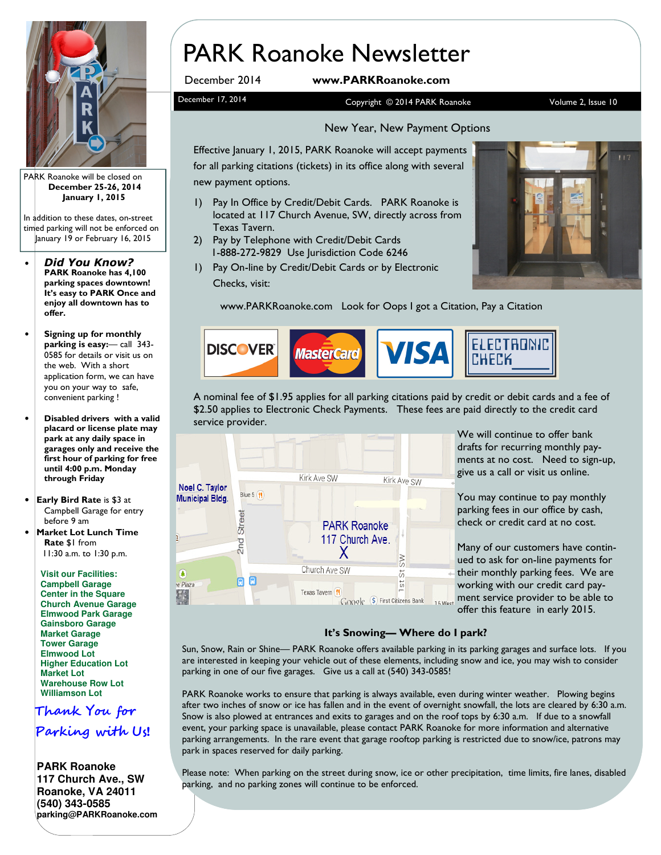

PARK Roanoke will be closed on December 25-26, 2014 January 1, 2015

In addition to these dates, on-street timed parking will not be enforced on January 19 or February 16, 2015

- Did You Know? PARK Roanoke has 4,100 parking spaces downtown! It's easy to PARK Once and enjoy all downtown has to offer.
- Signing up for monthly parking is easy:— call 343- 0585 for details or visit us on the web. With a short application form, we can have you on your way to safe, convenient parking !
- Disabled drivers with a valid placard or license plate may park at any daily space in garages only and receive the first hour of parking for free until 4:00 p.m. Monday through Friday
- Early Bird Rate is \$3 at Campbell Garage for entry before 9 am
- **Market Lot Lunch Time** Rate \$1 from 11:30 a.m. to 1:30 p.m.

**Visit our Facilities: Campbell Garage Center in the Square Church Avenue Garage Elmwood Park Garage Gainsboro Garage Market Garage Tower Garage Elmwood Lot Higher Education Lot Market Lot Warehouse Row Lot Williamson Lot**

Thank You for

Parking with Us!

**PARK Roanoke 117 Church Ave., SW Roanoke, VA 24011 (540) 343-0585 parking@PARKRoanoke.com** 

# PARK Roanoke Newsletter

### December 2014 www.PARKRoanoke.com

December 17, 2014 **Copyright © 2014 PARK Roanoke** Volume 2, Issue 10

#### New Year, New Payment Options

Effective January 1, 2015, PARK Roanoke will accept payments for all parking citations (tickets) in its office along with several new payment options.

- 1) Pay In Office by Credit/Debit Cards. PARK Roanoke is located at 117 Church Avenue, SW, directly across from Texas Tavern.
- 2) Pay by Telephone with Credit/Debit Cards 1-888-272-9829 Use Jurisdiction Code 6246
- 1) Pay On-line by Credit/Debit Cards or by Electronic Checks, visit:



www.PARKRoanoke.com Look for Oops I got a Citation, Pay a Citation



A nominal fee of \$1.95 applies for all parking citations paid by credit or debit cards and a fee of \$2.50 applies to Electronic Check Payments. These fees are paid directly to the credit card service provider.



We will continue to offer bank drafts for recurring monthly payments at no cost. Need to sign-up, give us a call or visit us online.

You may continue to pay monthly parking fees in our office by cash, check or credit card at no cost.

Many of our customers have continued to ask for on-line payments for their monthly parking fees. We are working with our credit card payment service provider to be able to offer this feature in early 2015.

#### It's Snowing— Where do I park?

Sun, Snow, Rain or Shine— PARK Roanoke offers available parking in its parking garages and surface lots. If you are interested in keeping your vehicle out of these elements, including snow and ice, you may wish to consider parking in one of our five garages. Give us a call at (540) 343-0585!

PARK Roanoke works to ensure that parking is always available, even during winter weather. Plowing begins after two inches of snow or ice has fallen and in the event of overnight snowfall, the lots are cleared by 6:30 a.m. Snow is also plowed at entrances and exits to garages and on the roof tops by 6:30 a.m. If due to a snowfall event, your parking space is unavailable, please contact PARK Roanoke for more information and alternative parking arrangements. In the rare event that garage rooftop parking is restricted due to snow/ice, patrons may park in spaces reserved for daily parking.

Please note: When parking on the street during snow, ice or other precipitation, time limits, fire lanes, disabled parking, and no parking zones will continue to be enforced.